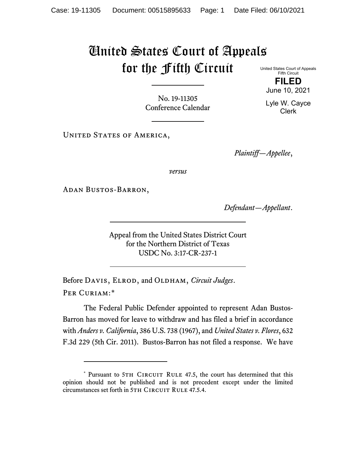## United States Court of Appeals for the Fifth Circuit

No. 19-11305 Conference Calendar

UNITED STATES OF AMERICA,

*Plaintiff—Appellee*,

*versus*

Adan Bustos-Barron,

*Defendant—Appellant*.

Appeal from the United States District Court for the Northern District of Texas USDC No. 3:17-CR-237-1

Before DAVIS, ELROD, and OLDHAM, *Circuit Judges*. Per Curiam:[\\*](#page-0-0)

The Federal Public Defender appointed to represent Adan Bustos-Barron has moved for leave to withdraw and has filed a brief in accordance with *Anders v. California*, 386 U.S. 738 (1967), and *United States v. Flores*, 632 F.3d 229 (5th Cir. 2011). Bustos-Barron has not filed a response. We have

United States Court of Appeals Fifth Circuit **FILED**

June 10, 2021

Lyle W. Cayce Clerk

<span id="page-0-0"></span><sup>\*</sup> Pursuant to 5TH CIRCUIT RULE 47.5, the court has determined that this opinion should not be published and is not precedent except under the limited circumstances set forth in 5TH CIRCUIT RULE 47.5.4.